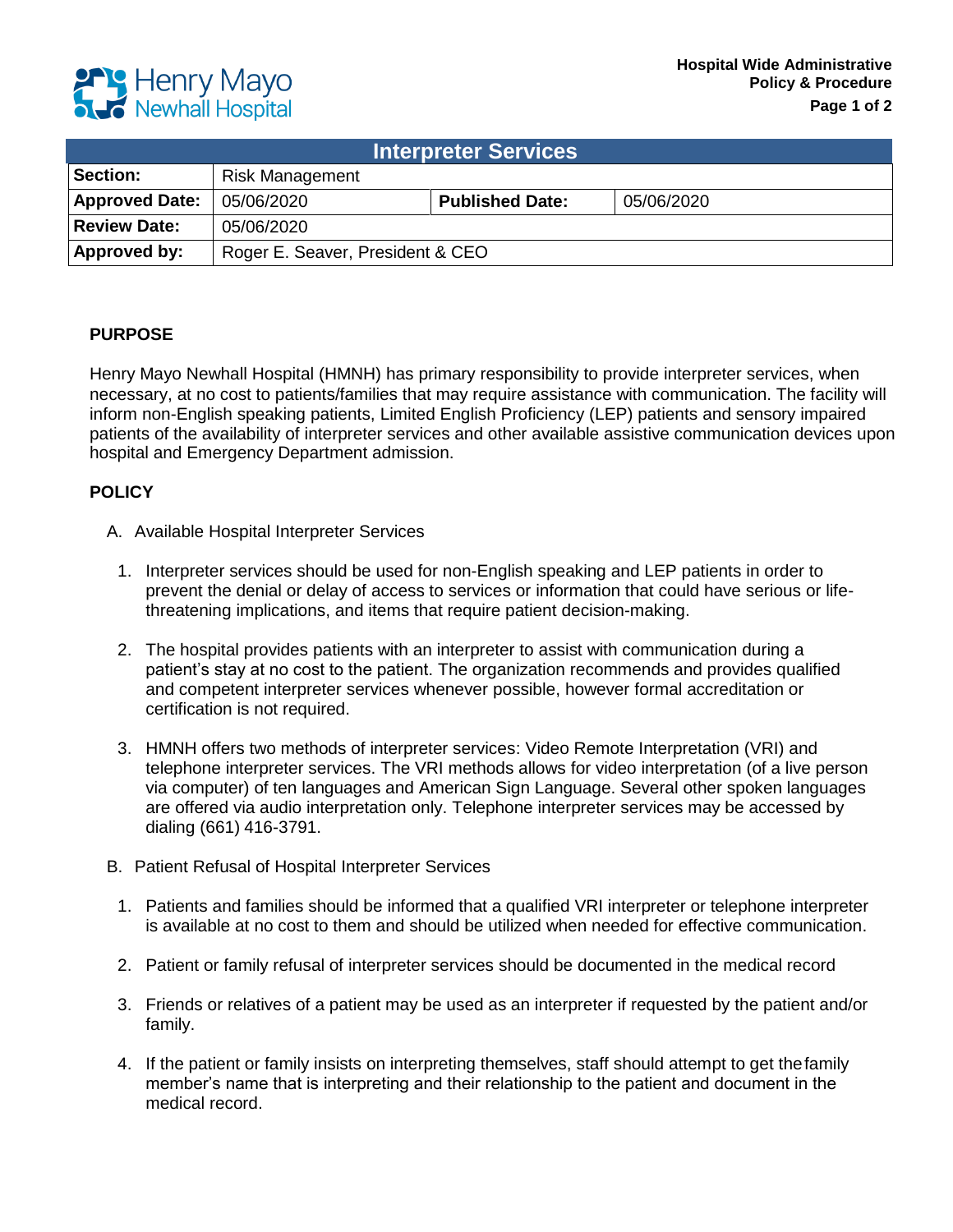

| <b>Interpreter Services</b> |                                  |                        |            |
|-----------------------------|----------------------------------|------------------------|------------|
| Section:                    | <b>Risk Management</b>           |                        |            |
| <b>Approved Date:</b>       | 05/06/2020                       | <b>Published Date:</b> | 05/06/2020 |
| <b>Review Date:</b>         | 05/06/2020                       |                        |            |
| Approved by:                | Roger E. Seaver, President & CEO |                        |            |

## **PURPOSE**

Henry Mayo Newhall Hospital (HMNH) has primary responsibility to provide interpreter services, when necessary, at no cost to patients/families that may require assistance with communication. The facility will inform non-English speaking patients, Limited English Proficiency (LEP) patients and sensory impaired patients of the availability of interpreter services and other available assistive communication devices upon hospital and Emergency Department admission.

## **POLICY**

- A. Available Hospital Interpreter Services
	- 1. Interpreter services should be used for non-English speaking and LEP patients in order to prevent the denial or delay of access to services or information that could have serious or lifethreatening implications, and items that require patient decision-making.
	- 2. The hospital provides patients with an interpreter to assist with communication during a patient's stay at no cost to the patient. The organization recommends and provides qualified and competent interpreter services whenever possible, however formal accreditation or certification is not required.
	- 3. HMNH offers two methods of interpreter services: Video Remote Interpretation (VRI) and telephone interpreter services. The VRI methods allows for video interpretation (of a live person via computer) of ten languages and American Sign Language. Several other spoken languages are offered via audio interpretation only. Telephone interpreter services may be accessed by dialing (661) 416-3791.
- B. Patient Refusal of Hospital Interpreter Services
	- 1. Patients and families should be informed that a qualified VRI interpreter or telephone interpreter is available at no cost to them and should be utilized when needed for effective communication.
	- 2. Patient or family refusal of interpreter services should be documented in the medical record
	- 3. Friends or relatives of a patient may be used as an interpreter if requested by the patient and/or family.
	- 4. If the patient or family insists on interpreting themselves, staff should attempt to get thefamily member's name that is interpreting and their relationship to the patient and document in the medical record.